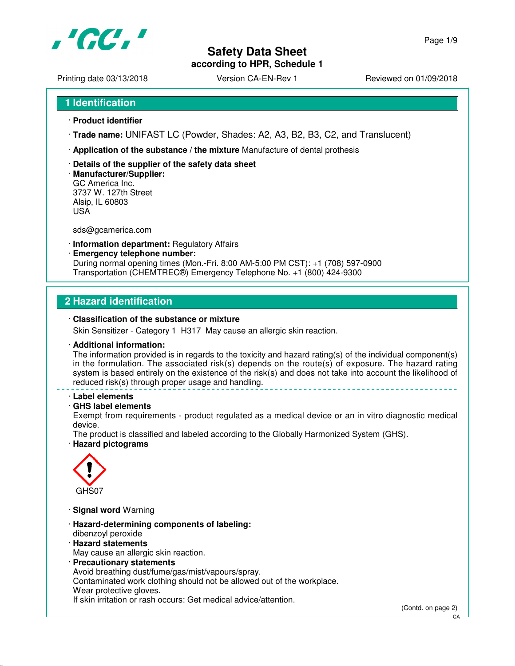

## **Safety Data Sheet according to HPR, Schedule 1**

Printing date 03/13/2018 <br>
Version CA-EN-Rev 1 Reviewed on 01/09/2018

- · **Product identifier**
- · **Trade name:** UNIFAST LC (Powder, Shades: A2, A3, B2, B3, C2, and Translucent)
- · **Application of the substance / the mixture** Manufacture of dental prothesis
- · **Details of the supplier of the safety data sheet**
- · **Manufacturer/Supplier:** GC America Inc. 3737 W. 127th Street Alsip, IL 60803 USA

sds@gcamerica.com

- · **Information department:** Regulatory Affairs
- · **Emergency telephone number:** During normal opening times (Mon.-Fri. 8:00 AM-5:00 PM CST): +1 (708) 597-0900 Transportation (CHEMTREC®) Emergency Telephone No. +1 (800) 424-9300

## **2 Hazard identification**

#### · **Classification of the substance or mixture**

Skin Sensitizer - Category 1 H317 May cause an allergic skin reaction.

#### · **Additional information:**

The information provided is in regards to the toxicity and hazard rating(s) of the individual component(s) in the formulation. The associated risk(s) depends on the route(s) of exposure. The hazard rating system is based entirely on the existence of the risk(s) and does not take into account the likelihood of reduced risk(s) through proper usage and handling.

#### · **Label elements**

### · **GHS label elements**

Exempt from requirements - product regulated as a medical device or an in vitro diagnostic medical device.

The product is classified and labeled according to the Globally Harmonized System (GHS). · **Hazard pictograms**



- · **Signal word** Warning
- · **Hazard-determining components of labeling:** dibenzoyl peroxide
- · **Hazard statements** May cause an allergic skin reaction.
- · **Precautionary statements**

Avoid breathing dust/fume/gas/mist/vapours/spray.

Contaminated work clothing should not be allowed out of the workplace.

Wear protective gloves.

If skin irritation or rash occurs: Get medical advice/attention.

CA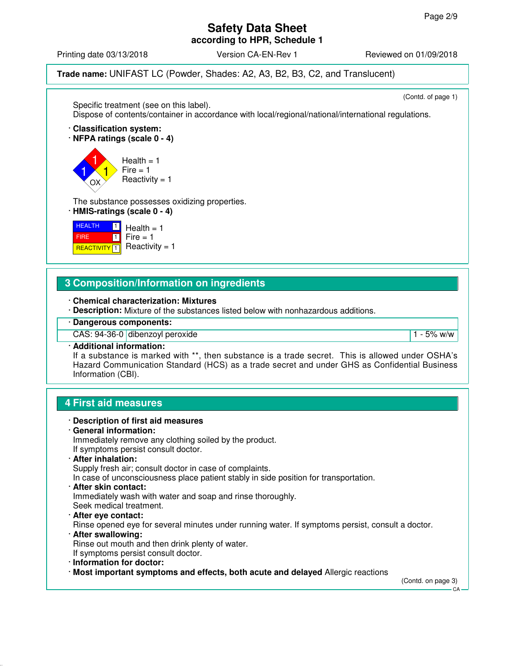### **Safety Data Sheet according to HPR, Schedule 1**

Printing date 03/13/2018 **Version CA-EN-Rev 1** Reviewed on 01/09/2018

**Trade name:** UNIFAST LC (Powder, Shades: A2, A3, B2, B3, C2, and Translucent)

(Contd. of page 1)

Specific treatment (see on this label). Dispose of contents/container in accordance with local/regional/national/international regulations. · **Classification system:** · **NFPA ratings (scale 0 - 4)** 1 1 1 OX  $Health = 1$  $Fire = 1$  $Reactivity = 1$ The substance possesses oxidizing properties. · **HMIS-ratings (scale 0 - 4) HEALTH**  FIRE **REACTIVITY** 1  $\Box$  $\Box$  $Health = 1$  $Fire = 1$  $Reactivity = 1$ **3 Composition/Information on ingredients** · **Chemical characterization: Mixtures** · **Description:** Mixture of the substances listed below with nonhazardous additions. · **Dangerous components:**

CAS: 94-36-0 dibenzoyl peroxide 1 - 5% w/w

```
· Additional information:
```
If a substance is marked with \*\*, then substance is a trade secret. This is allowed under OSHA's Hazard Communication Standard (HCS) as a trade secret and under GHS as Confidential Business Information (CBI).

## **4 First aid measures**



Immediately remove any clothing soiled by the product. If symptoms persist consult doctor.

· **After inhalation:** Supply fresh air; consult doctor in case of complaints.

In case of unconsciousness place patient stably in side position for transportation.

· **After skin contact:** Immediately wash with water and soap and rinse thoroughly.

Seek medical treatment.

· **After eye contact:**

Rinse opened eye for several minutes under running water. If symptoms persist, consult a doctor.

· **After swallowing:**

Rinse out mouth and then drink plenty of water.

- If symptoms persist consult doctor.
- · **Information for doctor:**
- · **Most important symptoms and effects, both acute and delayed** Allergic reactions

(Contd. on page 3)

CA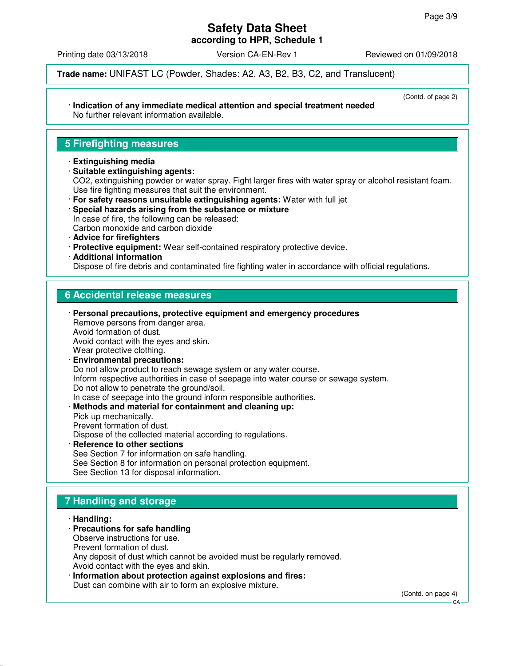**according to HPR, Schedule 1**

Printing date 03/13/2018 Version CA-EN-Rev 1 Reviewed on 01/09/2018

**Trade name:** UNIFAST LC (Powder, Shades: A2, A3, B2, B3, C2, and Translucent)

#### · **Indication of any immediate medical attention and special treatment needed** No further relevant information available.

#### (Contd. of page 2)

## **5 Firefighting measures**

- · **Extinguishing media**
- · **Suitable extinguishing agents:** CO2, extinguishing powder or water spray. Fight larger fires with water spray or alcohol resistant foam. Use fire fighting measures that suit the environment.
- · **For safety reasons unsuitable extinguishing agents:** Water with full jet
- · **Special hazards arising from the substance or mixture** In case of fire, the following can be released: Carbon monoxide and carbon dioxide
- · **Advice for firefighters**
- · **Protective equipment:** Wear self-contained respiratory protective device.
- · **Additional information**

Dispose of fire debris and contaminated fire fighting water in accordance with official regulations.

## **6 Accidental release measures**

- · **Personal precautions, protective equipment and emergency procedures** Remove persons from danger area. Avoid formation of dust. Avoid contact with the eyes and skin. Wear protective clothing.
- · **Environmental precautions:** Do not allow product to reach sewage system or any water course. Inform respective authorities in case of seepage into water course or sewage system. Do not allow to penetrate the ground/soil. In case of seepage into the ground inform responsible authorities.
- · **Methods and material for containment and cleaning up:** Pick up mechanically. Prevent formation of dust. Dispose of the collected material according to regulations.
- **Reference to other sections** See Section 7 for information on safe handling. See Section 8 for information on personal protection equipment. See Section 13 for disposal information.

# **7 Handling and storage**

- · **Handling:**
- · **Precautions for safe handling**
- Observe instructions for use. Prevent formation of dust.

Any deposit of dust which cannot be avoided must be regularly removed. Avoid contact with the eyes and skin.

· **Information about protection against explosions and fires:** Dust can combine with air to form an explosive mixture.

(Contd. on page 4)

 $C.A$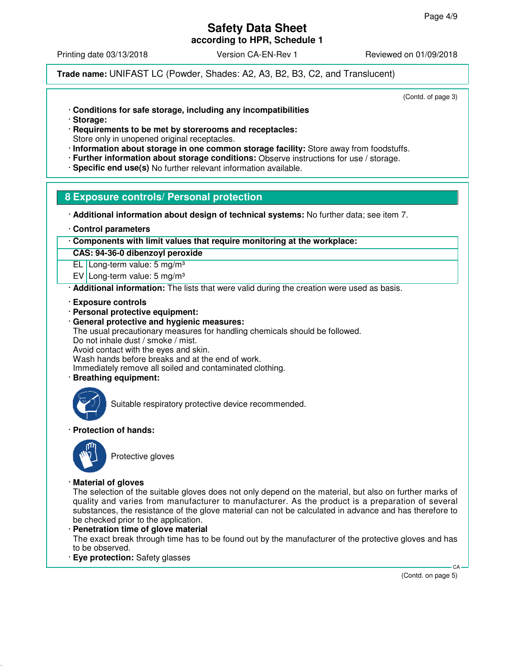**according to HPR, Schedule 1**

Printing date 03/13/2018 **Version CA-EN-Rev 1** Reviewed on 01/09/2018

**Trade name:** UNIFAST LC (Powder, Shades: A2, A3, B2, B3, C2, and Translucent)

(Contd. of page 3)

- · **Conditions for safe storage, including any incompatibilities**
- · **Storage:**
- · **Requirements to be met by storerooms and receptacles:**
- Store only in unopened original receptacles.
- · **Information about storage in one common storage facility:** Store away from foodstuffs.
- · **Further information about storage conditions:** Observe instructions for use / storage.
- · **Specific end use(s)** No further relevant information available.

### **8 Exposure controls/ Personal protection**

· **Additional information about design of technical systems:** No further data; see item 7.

· **Control parameters**

· **Components with limit values that require monitoring at the workplace:**

**CAS: 94-36-0 dibenzoyl peroxide**

EL Long-term value: 5 mg/m³

EV Long-term value: 5 mg/m³

· **Additional information:** The lists that were valid during the creation were used as basis.

- · **Exposure controls**
- · **Personal protective equipment:**
- · **General protective and hygienic measures:** The usual precautionary measures for handling chemicals should be followed. Do not inhale dust / smoke / mist. Avoid contact with the eyes and skin. Wash hands before breaks and at the end of work. Immediately remove all soiled and contaminated clothing.
- · **Breathing equipment:**



Suitable respiratory protective device recommended.

#### · **Protection of hands:**



Protective gloves

#### · **Material of gloves**

The selection of the suitable gloves does not only depend on the material, but also on further marks of quality and varies from manufacturer to manufacturer. As the product is a preparation of several substances, the resistance of the glove material can not be calculated in advance and has therefore to be checked prior to the application.

· **Penetration time of glove material**

The exact break through time has to be found out by the manufacturer of the protective gloves and has to be observed.

· **Eye protection:** Safety glasses

(Contd. on page 5)

CA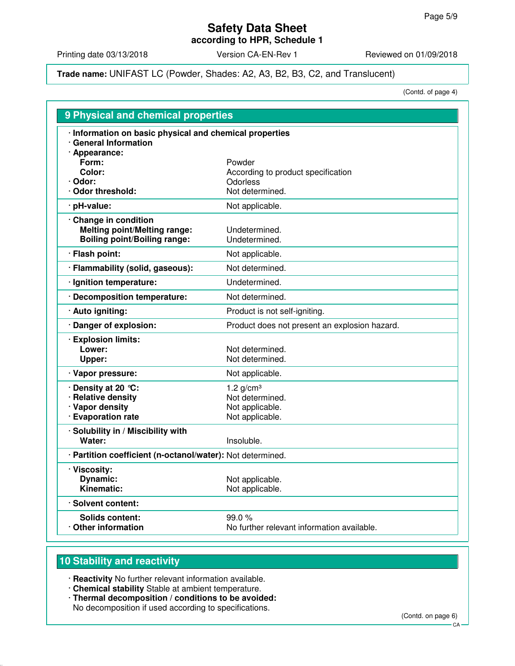**according to HPR, Schedule 1**

Printing date 03/13/2018 Version CA-EN-Rev 1 Reviewed on 01/09/2018

#### **Trade name:** UNIFAST LC (Powder, Shades: A2, A3, B2, B3, C2, and Translucent)

(Contd. of page 4)

| 9 Physical and chemical properties                                                                  |                                                     |  |
|-----------------------------------------------------------------------------------------------------|-----------------------------------------------------|--|
| · Information on basic physical and chemical properties<br>· General Information<br>· Appearance:   |                                                     |  |
| Form:                                                                                               | Powder                                              |  |
| Color:                                                                                              | According to product specification                  |  |
| · Odor:<br>Odor threshold:                                                                          | Odorless<br>Not determined.                         |  |
| pH-value:                                                                                           | Not applicable.                                     |  |
|                                                                                                     |                                                     |  |
| · Change in condition<br><b>Melting point/Melting range:</b><br><b>Boiling point/Boiling range:</b> | Undetermined.<br>Undetermined.                      |  |
| · Flash point:                                                                                      | Not applicable.                                     |  |
| · Flammability (solid, gaseous):                                                                    | Not determined.                                     |  |
| · Ignition temperature:                                                                             | Undetermined.                                       |  |
| · Decomposition temperature:                                                                        | Not determined.                                     |  |
| · Auto igniting:                                                                                    | Product is not self-igniting.                       |  |
| · Danger of explosion:                                                                              | Product does not present an explosion hazard.       |  |
| · Explosion limits:<br>Lower:<br>Upper:                                                             | Not determined.<br>Not determined.                  |  |
| · Vapor pressure:                                                                                   | Not applicable.                                     |  |
| Density at 20 °C:                                                                                   | 1.2 $q/cm3$                                         |  |
| · Relative density                                                                                  | Not determined.                                     |  |
| · Vapor density<br>· Evaporation rate                                                               | Not applicable.<br>Not applicable.                  |  |
| · Solubility in / Miscibility with<br>Water:                                                        | Insoluble.                                          |  |
| · Partition coefficient (n-octanol/water): Not determined.                                          |                                                     |  |
| · Viscosity:                                                                                        |                                                     |  |
| <b>Dynamic:</b>                                                                                     | Not applicable.                                     |  |
| Kinematic:                                                                                          | Not applicable.                                     |  |
| · Solvent content:                                                                                  |                                                     |  |
| <b>Solids content:</b><br>Other information                                                         | 99.0%<br>No further relevant information available. |  |
|                                                                                                     |                                                     |  |

# **10 Stability and reactivity**

· **Reactivity** No further relevant information available.

- · **Chemical stability** Stable at ambient temperature.
- · **Thermal decomposition / conditions to be avoided:** No decomposition if used according to specifications.

(Contd. on page 6)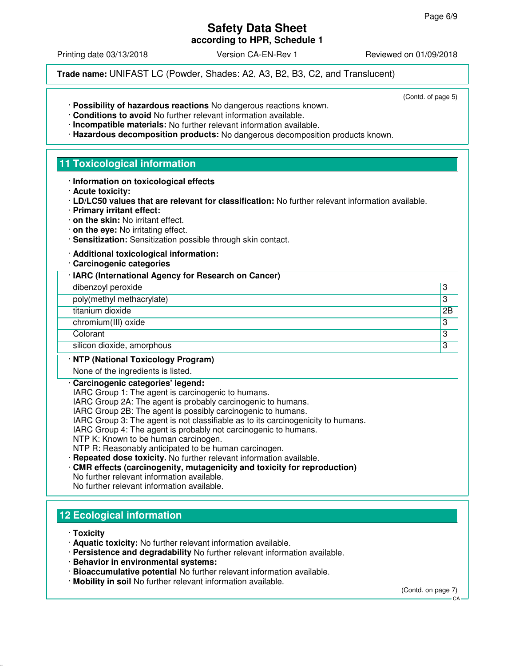**according to HPR, Schedule 1**

Printing date 03/13/2018 **Version CA-EN-Rev 1** Reviewed on 01/09/2018

(Contd. of page 5)

**Trade name:** UNIFAST LC (Powder, Shades: A2, A3, B2, B3, C2, and Translucent)

- · **Possibility of hazardous reactions** No dangerous reactions known.
- · **Conditions to avoid** No further relevant information available.
- · **Incompatible materials:** No further relevant information available.
- · **Hazardous decomposition products:** No dangerous decomposition products known.

## **11 Toxicological information**

- · **Information on toxicological effects**
- · **Acute toxicity:**
- · **LD/LC50 values that are relevant for classification:** No further relevant information available.
- · **Primary irritant effect:**
- · **on the skin:** No irritant effect.
- · **on the eye:** No irritating effect.
- · **Sensitization:** Sensitization possible through skin contact.
- · **Additional toxicological information:**
- · **Carcinogenic categories**

#### · **IARC (International Agency for Research on Cancer)**

- dibenzoyl peroxide 3
- poly(methyl methacrylate) 3
- titanium dioxide 2B

chromium(III) oxide 3

Colorant 3

silicon dioxide, amorphous 3

#### · **NTP (National Toxicology Program)**

None of the ingredients is listed.

#### · **Carcinogenic categories' legend:**

IARC Group 1: The agent is carcinogenic to humans.

IARC Group 2A: The agent is probably carcinogenic to humans.

IARC Group 2B: The agent is possibly carcinogenic to humans.

- IARC Group 3: The agent is not classifiable as to its carcinogenicity to humans.
- IARC Group 4: The agent is probably not carcinogenic to humans.
- NTP K: Known to be human carcinogen.

NTP R: Reasonably anticipated to be human carcinogen.

- · **Repeated dose toxicity.** No further relevant information available.
- · **CMR effects (carcinogenity, mutagenicity and toxicity for reproduction)**

No further relevant information available. No further relevant information available.

# **12 Ecological information**

· **Toxicity**

- · **Aquatic toxicity:** No further relevant information available.
- · **Persistence and degradability** No further relevant information available.
- · **Behavior in environmental systems:**
- · **Bioaccumulative potential** No further relevant information available.
- · **Mobility in soil** No further relevant information available.

(Contd. on page 7)

 $CA$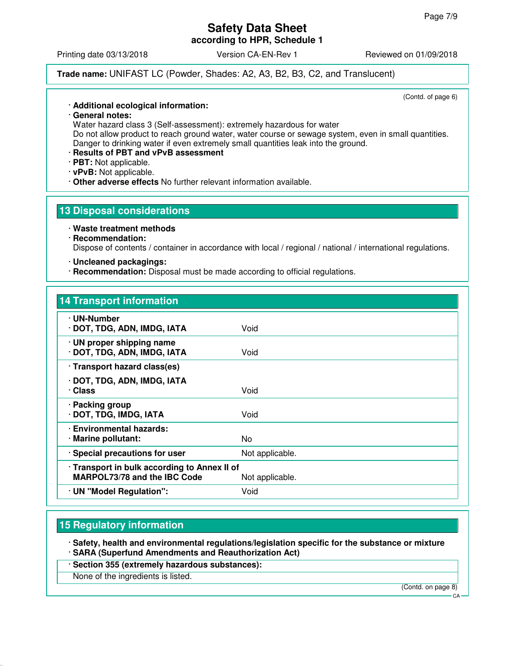**according to HPR, Schedule 1**

Printing date 03/13/2018 **Version CA-EN-Rev 1** Reviewed on 01/09/2018

**Trade name:** UNIFAST LC (Powder, Shades: A2, A3, B2, B3, C2, and Translucent)

(Contd. of page 6)

#### · **Additional ecological information:**

· **General notes:**

Water hazard class 3 (Self-assessment): extremely hazardous for water

Do not allow product to reach ground water, water course or sewage system, even in small quantities. Danger to drinking water if even extremely small quantities leak into the ground.

· **Results of PBT and vPvB assessment**

· **PBT:** Not applicable.

- · **vPvB:** Not applicable.
- · **Other adverse effects** No further relevant information available.

### **13 Disposal considerations**

· **Waste treatment methods**

## · **Recommendation:**

Dispose of contents / container in accordance with local / regional / national / international regulations.

- · **Uncleaned packagings:**
- · **Recommendation:** Disposal must be made according to official regulations.

#### **14 Transport information**

| · UN-Number<br>· DOT, TDG, ADN, IMDG, IATA                                                      | Void            |
|-------------------------------------------------------------------------------------------------|-----------------|
| · UN proper shipping name<br>· DOT, TDG, ADN, IMDG, IATA                                        | Void            |
| · Transport hazard class(es)                                                                    |                 |
| · DOT, TDG, ADN, IMDG, IATA<br>· Class                                                          | Void            |
| · Packing group<br>· DOT, TDG, IMDG, IATA                                                       | Void            |
| · Environmental hazards:<br>· Marine pollutant:                                                 | No.             |
| · Special precautions for user                                                                  | Not applicable. |
| · Transport in bulk according to Annex II of<br>MARPOL73/78 and the IBC Code<br>Not applicable. |                 |
| · UN "Model Regulation":                                                                        | Void            |

## **15 Regulatory information**

· **Safety, health and environmental regulations/legislation specific for the substance or mixture** · **SARA (Superfund Amendments and Reauthorization Act)**

· **Section 355 (extremely hazardous substances):**

None of the ingredients is listed.

(Contd. on page 8)

CA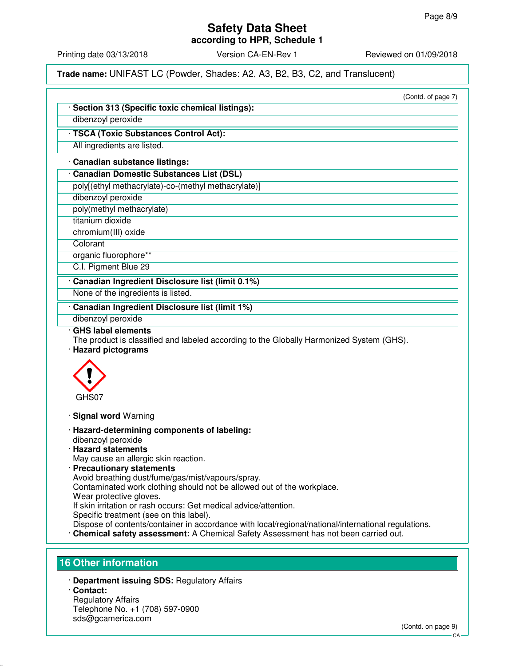**according to HPR, Schedule 1**

Printing date 03/13/2018 **Version CA-EN-Rev 1** Reviewed on 01/09/2018

**Trade name:** UNIFAST LC (Powder, Shades: A2, A3, B2, B3, C2, and Translucent)

(Contd. of page 7) · **Section 313 (Specific toxic chemical listings):** dibenzoyl peroxide · **TSCA (Toxic Substances Control Act):** All ingredients are listed. · **Canadian substance listings:** · **Canadian Domestic Substances List (DSL)** poly[(ethyl methacrylate)-co-(methyl methacrylate)] dibenzoyl peroxide poly(methyl methacrylate) titanium dioxide chromium(III) oxide **Colorant** organic fluorophore\*\* C.I. Pigment Blue 29 · **Canadian Ingredient Disclosure list (limit 0.1%)** None of the ingredients is listed. · **Canadian Ingredient Disclosure list (limit 1%)** dibenzoyl peroxide · **GHS label elements** The product is classified and labeled according to the Globally Harmonized System (GHS). · **Hazard pictograms** GHS07 · **Signal word** Warning · **Hazard-determining components of labeling:** dibenzoyl peroxide · **Hazard statements** May cause an allergic skin reaction. · **Precautionary statements** Avoid breathing dust/fume/gas/mist/vapours/spray. Contaminated work clothing should not be allowed out of the workplace. Wear protective gloves. If skin irritation or rash occurs: Get medical advice/attention. Specific treatment (see on this label). Dispose of contents/container in accordance with local/regional/national/international regulations. · **Chemical safety assessment:** A Chemical Safety Assessment has not been carried out. **16 Other information**

- · **Department issuing SDS:** Regulatory Affairs
- · **Contact:**

Regulatory Affairs Telephone No. +1 (708) 597-0900 sds@gcamerica.com

(Contd. on page 9)

CA